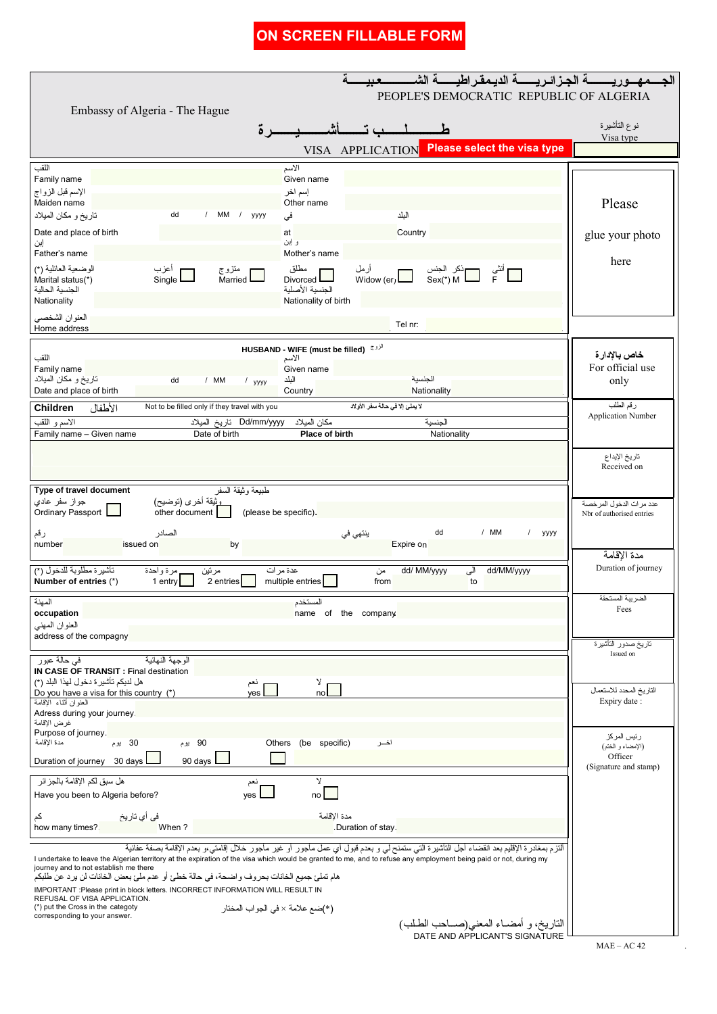| ON SCREEN FILLABLE FORM                                                                                                                                                                                                                                                                                       |                                                                           |                                          |
|---------------------------------------------------------------------------------------------------------------------------------------------------------------------------------------------------------------------------------------------------------------------------------------------------------------|---------------------------------------------------------------------------|------------------------------------------|
|                                                                                                                                                                                                                                                                                                               |                                                                           |                                          |
| PEOPLE'S DEMOCRATIC REPUBLIC OF ALGERIA                                                                                                                                                                                                                                                                       |                                                                           |                                          |
| Embassy of Algeria - The Hague                                                                                                                                                                                                                                                                                |                                                                           | نوع التأشيرة                             |
| ∡ ة                                                                                                                                                                                                                                                                                                           |                                                                           | Visa type                                |
|                                                                                                                                                                                                                                                                                                               | <b>Please select the visa type</b><br>VISA APPLICATION                    |                                          |
| اللقب<br>الأسم<br>Family name<br>Given name                                                                                                                                                                                                                                                                   |                                                                           |                                          |
| الإسم قبل الزواج<br>إسم اخر<br>Maiden name<br>Other name                                                                                                                                                                                                                                                      |                                                                           | Please                                   |
| MM / yyyy<br>تاريخ و مكان الميلاد<br>dd<br>فی                                                                                                                                                                                                                                                                 | النلد                                                                     |                                          |
| Date and place of birth<br>at<br>و اين                                                                                                                                                                                                                                                                        | Country                                                                   | glue your photo                          |
| إين<br>Father's name<br>Mother's name                                                                                                                                                                                                                                                                         |                                                                           | here                                     |
| الوضعية العائلية (*)<br>أعزب<br>Single<br>مطلق<br>منزوج<br>Married<br>Marital status(*)<br>Divorced L                                                                                                                                                                                                         | أرمل<br>Widow (er)                                                        |                                          |
| الجنسبة الأصلبة<br>الجنسية الحالية                                                                                                                                                                                                                                                                            |                                                                           |                                          |
| Nationality<br>Nationality of birth<br>العنوان الشخصي                                                                                                                                                                                                                                                         |                                                                           |                                          |
| Home address                                                                                                                                                                                                                                                                                                  | Tel nr:                                                                   |                                          |
| HUSBAND - WIFE (must be filled) الأنوج<br>اللقب<br>الأسم                                                                                                                                                                                                                                                      |                                                                           | خاص بالإدار ة                            |
| Family name<br>Given name                                                                                                                                                                                                                                                                                     |                                                                           | For official use                         |
| تاريخ و مكان الميلاد<br>الىلد<br>dd<br>/ MM<br>$1$ yyyy<br>Date and place of birth<br>Country                                                                                                                                                                                                                 | الجنسية<br>Nationality                                                    | only                                     |
| Not to be filled only if they travel with you<br>الأطفال<br>Children                                                                                                                                                                                                                                          | لا يملئ إلا في حالة سفر الأولاد                                           | رقم الطلب<br><b>Application Number</b>   |
| الاسم و اللقب<br>مكان الميلاد<br>Dd/mm/yyyy تاريخ الميلاد<br>Family name - Given name<br>Place of birth<br>Date of birth                                                                                                                                                                                      | الحنسنة<br>Nationality                                                    |                                          |
|                                                                                                                                                                                                                                                                                                               |                                                                           |                                          |
|                                                                                                                                                                                                                                                                                                               |                                                                           | تاريخ الإيداع<br>Received on             |
| Type of travel document<br>طبيعة وثيقة السفر                                                                                                                                                                                                                                                                  |                                                                           |                                          |
| وثيقة أخرى (توضيح)<br>جواز سفر عادی<br>Ordinary Passport  <br>other document<br>(please be specific).                                                                                                                                                                                                         |                                                                           | عدد مر ات الدخول المر خصة                |
| Nbr of authorised entries<br>dd<br>/ MM                                                                                                                                                                                                                                                                       |                                                                           |                                          |
| الصادر<br>/ yyyy<br>رقم<br>ينٽهي في<br>number<br>issued on<br>by<br>Expire on                                                                                                                                                                                                                                 |                                                                           |                                          |
| تأشيرة مطلوبة للدخول (*)<br>dd/MM/yyyy<br>dd/ MM/yyyy<br>مرتين<br>عدة مرات<br>الی                                                                                                                                                                                                                             |                                                                           | مدة الإقامة<br>Duration of journey       |
| 2 entries<br>multiple entries<br>Number of entries (*)<br>1 entry<br>from<br>to                                                                                                                                                                                                                               |                                                                           |                                          |
| المهنة<br>المستخدم                                                                                                                                                                                                                                                                                            |                                                                           | الضريبة المستحقة<br>Fees                 |
| occupation<br>name of the company<br>العنوان المهنى                                                                                                                                                                                                                                                           |                                                                           |                                          |
| address of the compagny                                                                                                                                                                                                                                                                                       |                                                                           | ناريخ صدور الناشيرة                      |
| الوجهة النهائية<br>في حالة عبور                                                                                                                                                                                                                                                                               |                                                                           | Issued on                                |
| IN CASE OF TRANSIT : Final destination<br>هل لديكم تأشير ة دخول لهذا البلد (*)<br>צ<br>نعم                                                                                                                                                                                                                    |                                                                           |                                          |
| Do you have a visa for this country (*)<br>no<br>ves<br>العنوان أنتاء الإقامة                                                                                                                                                                                                                                 |                                                                           | الناريخ المحدد للاستعمال<br>Expiry date: |
| Adress during your journey<br>غرض الإقامة                                                                                                                                                                                                                                                                     |                                                                           |                                          |
| Purpose of journey.<br>مدة الإقامة<br>.<br>90 يوم<br>Others (be specific)<br>30 يوم                                                                                                                                                                                                                           | اخــر                                                                     | رئيس المركز                              |
| 90 days<br>Duration of journey<br>30 days                                                                                                                                                                                                                                                                     |                                                                           | (الإمضاء و الختم)<br>Officer             |
| (Signature and stamp)<br>هل سبق لكم الإقامة بالجز ائر<br>Σ<br>نعم                                                                                                                                                                                                                                             |                                                                           |                                          |
| yes<br>Have you been to Algeria before?<br>no                                                                                                                                                                                                                                                                 |                                                                           |                                          |
| في أي تاريخ<br>مدة الإقامة<br>کم                                                                                                                                                                                                                                                                              |                                                                           |                                          |
| how many times?<br>When?<br>.Duration of stay.                                                                                                                                                                                                                                                                |                                                                           |                                          |
| ألنزم بمغادرة الإقليم بعد انقضاء أجل النآشيرة التي ستمنح لي و بعدم قبول أي عمل مأجور أو غير مأجور خلال إقامتي،و بعدم الإقامة بصفة عفائية<br>I undertake to leave the Algerian territory at the expiration of the visa which would be granted to me, and to refuse any employment being paid or not, during my |                                                                           |                                          |
| journey and to not establish me there<br>هام تملَّيَّ جميع الخانات بحروف واضحة، في حالة خطئ أو عدم مليَّ بعض الخانات لن يرد عن طلبكم                                                                                                                                                                          |                                                                           |                                          |
| IMPORTANT :Please print in block letters. INCORRECT INFORMATION WILL RESULT IN<br>REFUSAL OF VISA APPLICATION.                                                                                                                                                                                                |                                                                           |                                          |
| (*) put the Cross in the categoty<br>(*)ضـع علامة × في الـجو اب المختار<br>corresponding to your answer.                                                                                                                                                                                                      |                                                                           |                                          |
|                                                                                                                                                                                                                                                                                                               | التاريخ، و أمضـاء المعنى(صــاحب الطـلب)<br>DATE AND APPLICANT'S SIGNATURE |                                          |